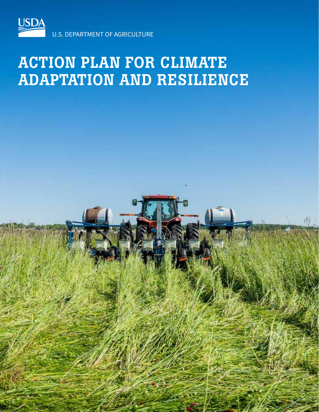

# ACTION PLAN FOR CLIMATE ADAPTATION AND RESILIENCE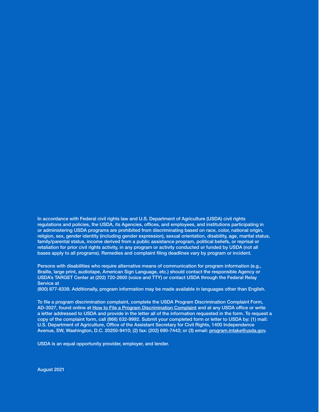In accordance with Federal civil rights law and U.S. Department of Agriculture (USDA) civil rights regulations and policies, the USDA, its Agencies, offices, and employees, and institutions participating in or administering USDA programs are prohibited from discriminating based on race, color, national origin, religion, sex, gender identity (including gender expression), sexual orientation, disability, age, marital status, family/parental status, income derived from a public assistance program, political beliefs, or reprisal or retaliation for prior civil rights activity, in any program or activity conducted or funded by USDA (not all bases apply to all programs). Remedies and complaint filing deadlines vary by program or incident.

Persons with disabilities who require alternative means of communication for program information (e.g., Braille, large print, audiotape, American Sign Language, etc.) should contact the responsible Agency or USDA's TARGET Center at (202) 720-2600 (voice and TTY) or contact USDA through the Federal Relay Service at

(800) 877-8339. Additionally, program information may be made available in languages other than English.

To file a program discrimination complaint, complete the USDA Program Discrimination Complaint Form, AD-3027, found online at How to File a Program Discrimination Complaint and at any USDA office or write a letter addressed to USDA and provide in the letter all of the information requested in the form. To request a copy of the complaint form, call (866) 632-9992. Submit your completed form or letter to USDA by: (1) mail: U.S. Department of Agriculture, Office of the Assistant Secretary for Civil Rights, 1400 Independence Avenue, SW, Washington, D.C. 20250-9410; (2) fax: (202) 690-7442; or (3) email: program.intake@usda.gov.

USDA is an equal opportunity provider, employer, and lender.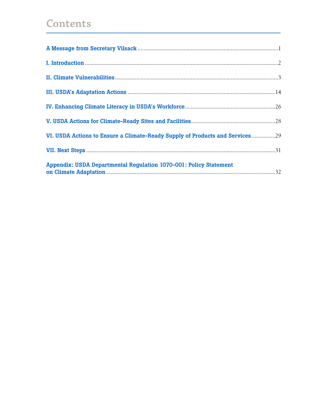# **Contents**

| VI. USDA Actions to Ensure a Climate-Ready Supply of Products and Services29 |
|------------------------------------------------------------------------------|
|                                                                              |
| <b>Appendix: USDA Departmental Regulation 1070-001: Policy Statement</b>     |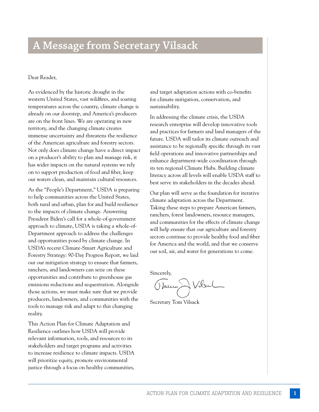## **A Message from Secretary Vilsack**

#### Dear Reader,

As evidenced by the historic drought in the western United States, vast wildfires, and soaring temperatures across the country, climate change is already on our doorstep, and America's producers are on the front lines. We are operating in new territory, and the changing climate creates immense uncertainty and threatens the resilience of the American agriculture and forestry sectors. Not only does climate change have a direct impact on a producer's ability to plan and manage risk, it has wider impacts on the natural systems we rely on to support production of food and fiber, keep our waters clean, and maintain cultural resources.

As the "People's Department," USDA is preparing to help communities across the United States, both rural and urban, plan for and build resilience to the impacts of climate change. Answering President Biden's call for a whole-of-government approach to climate, USDA is taking a whole-of-Department approach to address the challenges and opportunities posed by climate change. In USDA's recent Climate-Smart Agriculture and Forestry Strategy: 90-Day Progress Report, we laid out our mitigation strategy to ensure that farmers, ranchers, and landowners can seize on these opportunities and contribute to greenhouse gas emissions reductions and sequestration. Alongside those actions, we must make sure that we provide producers, landowners, and communities with the tools to manage risk and adapt to this changing reality.

This Action Plan for Climate Adaptation and Resilience outlines how USDA will provide relevant information, tools, and resources to its stakeholders and target programs and activities to increase resilience to climate impacts. USDA will prioritize equity, promote environmental justice through a focus on healthy communities,

and target adaptation actions with co-benefits for climate mitigation, conservation, and sustainability.

In addressing the climate crisis, the USDA research enterprise will develop innovative tools and practices for farmers and land managers of the future. USDA will tailor its climate outreach and assistance to be regionally specific through its vast field operations and innovative partnerships and enhance department-wide coordination through its ten regional Climate Hubs. Building climate literacy across all levels will enable USDA staff to best serve its stakeholders in the decades ahead.

Our plan will serve as the foundation for iterative climate adaptation across the Department. Taking these steps to prepare American farmers, ranchers, forest landowners, resource managers, and communities for the effects of climate change will help ensure that our agriculture and forestry sectors continue to provide healthy food and fiber for America and the world, and that we conserve our soil, air, and water for generations to come.

Sincerely,

Thurs Vilsel

Secretary Tom Vilsack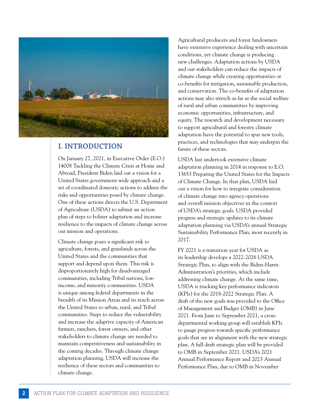

### **I. INTRODUCTION**

On January 27, 2021, in Executive Order (E.O.) 14008 Tackling the Climate Crisis at Home and Abroad, President Biden laid out a vision for a United States government-wide approach and a set of coordinated domestic actions to address the risks and opportunities posed by climate change. One of these actions directs the U.S. Department of Agriculture (USDA) to submit an action plan of steps to bolster adaptation and increase resilience to the impacts of climate change across our mission and operations.

Climate change poses a significant risk to agriculture, forests, and grasslands across the United States and the communities that support and depend upon them. This risk is disproportionately high for disadvantaged communities, including Tribal nations, lowincome, and minority communities. USDA is unique among federal departments in the breadth of its Mission Areas and its reach across the United States to urban, rural, and Tribal communities. Steps to reduce the vulnerability and increase the adaptive capacity of American farmers, ranchers, forest owners, and other stakeholders to climate change are needed to maintain competitiveness and sustainability in the coming decades. Through climate change adaptation planning, USDA will increase the resilience of these sectors and communities to climate change.

Agricultural producers and forest landowners have extensive experience dealing with uncertain conditions, yet climate change is producing new challenges. Adaptation actions by USDA and our stakeholders can reduce the impacts of climate change while creating opportunities or co-benefits for mitigation, sustainable production, and conservation. The co-benefits of adaptation actions may also stretch as far as the social welfare of rural and urban communities by improving economic opportunities, infrastructure, and equity. The research and development necessary to support agricultural and forestry climate adaptation have the potential to spur new tools, practices, and technologies that may underpin the future of these sectors.

USDA last undertook extensive climate adaptation planning in 2014 in response to E.O. 13653 Preparing the United States for the Impacts of Climate Change. In that plan, USDA laid out a vision for how to integrate consideration of climate change into agency operations and overall mission objectives in the context of USDA's strategic goals. USDA provided progress and strategic updates to its climate adaptation planning via USDA's annual Strategic Sustainability Performance Plan, most recently in 2017.

FY 2021 is a transition year for USDA as its leadership develops a 2022-2026 USDA Strategic Plan, to align with the Biden-Harris Administration's priorities, which include addressing climate change. At the same time, USDA is tracking key performance indicators (KPIs) for the 2018-2022 Strategic Plan. A draft of the new goals was provided to the Office of Management and Budget (OMB) in June 2021. From June to September 2021, a crossdepartmental working group will establish KPIs to gauge progress towards specific performance goals that are in alignment with the new strategic plan. A full draft strategic plan will be provided to OMB in September 2021. USDA's 2021 Annual Performance Report and 2023 Annual Performance Plan, due to OMB in November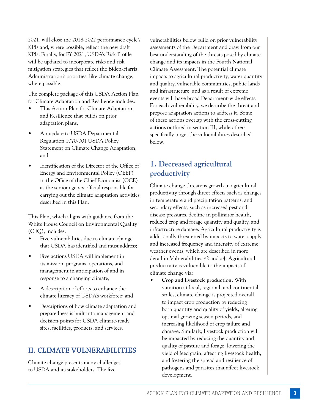2021, will close the 2018-2022 performance cycle's KPIs and, where possible, reflect the new draft KPIs. Finally, for FY 2021, USDA's Risk Profile will be updated to incorporate risks and risk mitigation strategies that reflect the Biden-Harris Administration's priorities, like climate change, where possible.

The complete package of this USDA Action Plan for Climate Adaptation and Resilience includes:

- This Action Plan for Climate Adaptation and Resilience that builds on prior adaptation plans,
- An update to USDA Departmental Regulation 1070-001 USDA Policy Statement on Climate Change Adaptation, and
- Identification of the Director of the Office of Energy and Environmental Policy (OEEP) in the Office of the Chief Economist (OCE) as the senior agency official responsible for carrying out the climate adaptation activities described in this Plan.

This Plan, which aligns with guidance from the White House Council on Environmental Quality (CEQ), includes:

- Five vulnerabilities due to climate change that USDA has identified and must address;
- Five actions USDA will implement in its mission, programs, operations, and management in anticipation of and in response to a changing climate;
- A description of efforts to enhance the climate literacy of USDA's workforce; and
- Descriptions of how climate adaptation and preparedness is built into management and decision-points for USDA climate-ready sites, facilities, products, and services.

### **II. CLIMATE VULNERABILITIES**

Climate change presents many challenges to USDA and its stakeholders. The five

vulnerabilities below build on prior vulnerability assessments of the Department and draw from our best understanding of the threats posed by climate change and its impacts in the Fourth National Climate Assessment. The potential climate impacts to agricultural productivity, water quantity and quality, vulnerable communities, public lands and infrastructure, and as a result of extreme events will have broad Department-wide effects. For each vulnerability, we describe the threat and propose adaptation actions to address it. Some of these actions overlap with the cross-cutting actions outlined in section III, while others specifically target the vulnerabilities described below.

### **1. Decreased agricultural productivity**

Climate change threatens growth in agricultural productivity through direct effects such as changes in temperature and precipitation patterns, and secondary effects, such as increased pest and disease pressures, decline in pollinator health, reduced crop and forage quantity and quality, and infrastructure damage. Agricultural productivity is additionally threatened by impacts to water supply and increased frequency and intensity of extreme weather events, which are described in more detail in Vulnerabilities #2 and #4. Agricultural productivity is vulnerable to the impacts of climate change via:

• **Crop and livestock production.** With variation at local, regional, and continental scales, climate change is projected overall to impact crop production by reducing both quantity and quality of yields, altering optimal growing season periods, and increasing likelihood of crop failure and damage. Similarly, livestock production will be impacted by reducing the quantity and quality of pasture and forage, lowering the yield of feed grain, affecting livestock health, and fostering the spread and resilience of pathogens and parasites that affect livestock development.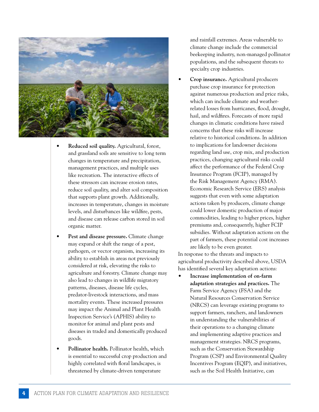

- **Reduced soil quality.** Agricultural, forest, and grassland soils are sensitive to long term changes in temperature and precipitation, management practices, and multiple uses like recreation. The interactive effects of these stressors can increase erosion rates, reduce soil quality, and alter soil composition that supports plant growth. Additionally, increases in temperature, changes in moisture levels, and disturbances like wildfire, pests, and disease can release carbon stored in soil organic matter.
- **Pest and disease pressure.** Climate change may expand or shift the range of a pest, pathogen, or vector organism, increasing its ability to establish in areas not previously considered at risk, elevating the risks to agriculture and forestry. Climate change may also lead to changes in wildlife migratory patterns, diseases, disease life cycles, predator-livestock interactions, and mass mortality events. These increased pressures may impact the Animal and Plant Health Inspection Service's (APHIS) ability to monitor for animal and plant pests and diseases in traded and domestically produced goods.
- **Pollinator health.** Pollinator health, which is essential to successful crop production and highly correlated with floral landscapes, is threatened by climate-driven temperature

and rainfall extremes. Areas vulnerable to climate change include the commercial beekeeping industry, non-managed pollinator populations, and the subsequent threats to specialty crop industries.

• **Crop insurance.** Agricultural producers purchase crop insurance for protection against numerous production and price risks, which can include climate and weatherrelated losses from hurricanes, flood, drought, hail, and wildfires. Forecasts of more rapid changes in climatic conditions have raised concerns that these risks will increase relative to historical conditions. In addition to implications for landowner decisions regarding land use, crop mix, and production practices, changing agricultural risks could affect the performance of the Federal Crop Insurance Program (FCIP), managed by the Risk Management Agency (RMA). Economic Research Service (ERS) analysis suggests that even with some adaptation actions taken by producers, climate change could lower domestic production of major commodities, leading to higher prices, higher premiums and, consequently, higher FCIP subsidies. Without adaptation actions on the part of farmers, these potential cost increases are likely to be even greater.

In response to the threats and impacts to agricultural productivity described above, USDA has identified several key adaptation actions:

• **Increase implementation of on-farm adaptation strategies and practices.** The Farm Service Agency (FSA) and the Natural Resources Conservation Service (NRCS) can leverage existing programs to support farmers, ranchers, and landowners in understanding the vulnerabilities of their operations to a changing climate and implementing adaptive practices and management strategies. NRCS programs, such as the Conservation Stewardship Program (CSP) and Environmental Quality Incentives Program (EQIP), and initiatives, such as the Soil Health Initiative, can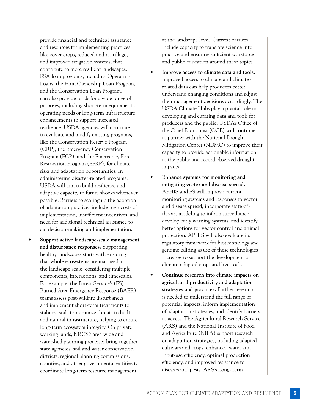provide financial and technical assistance and resources for implementing practices, like cover crops, reduced and no tillage, and improved irrigation systems, that contribute to more resilient landscapes. FSA loan programs, including Operating Loans, the Farm Ownership Loan Program, and the Conservation Loan Program, can also provide funds for a wide range of purposes, including short-term equipment or operating needs or long-term infrastructure enhancements to support increased resilience. USDA agencies will continue to evaluate and modify existing programs, like the Conservation Reserve Program (CRP), the Emergency Conservation Program (ECP), and the Emergency Forest Restoration Program (EFRP), for climate risks and adaptation opportunities. In administering disaster-related programs, USDA will aim to build resilience and adaptive capacity to future shocks whenever possible. Barriers to scaling up the adoption of adaptation practices include high costs of implementation, insufficient incentives, and need for additional technical assistance to aid decision-making and implementation.

• **Support active landscape-scale management and disturbance responses.** Supporting healthy landscapes starts with ensuring that whole ecosystems are managed at the landscape scale, considering multiple components, interactions, and timescales. For example, the Forest Service's (FS) Burned Area Emergency Response (BAER) teams assess post-wildfire disturbances and implement short-term treatments to stabilize soils to minimize threats to built and natural infrastructure, helping to ensure long-term ecosystem integrity. On private working lands, NRCS's area-wide and watershed planning processes bring together state agencies, soil and water conservation districts, regional planning commissions, counties, and other governmental entities to coordinate long-term resource management

at the landscape level. Current barriers include capacity to translate science into practice and ensuring sufficient workforce and public education around these topics.

- **Improve access to climate data and tools.** Improved access to climate and climaterelated data can help producers better understand changing conditions and adjust their management decisions accordingly. The USDA Climate Hubs play a pivotal role in developing and curating data and tools for producers and the public. USDA's Office of the Chief Economist (OCE) will continue to partner with the National Drought Mitigation Center (NDMC) to improve their capacity to provide actionable information to the public and record observed drought impacts.
- **Enhance systems for monitoring and mitigating vector and disease spread.**  APHIS and FS will improve current monitoring systems and responses to vector and disease spread, incorporate state-ofthe-art modeling to inform surveillance, develop early warning systems, and identify better options for vector control and animal protection. APHIS will also evaluate its regulatory framework for biotechnology and genome editing as use of these technologies increases to support the development of climate-adapted crops and livestock.
- **Continue research into climate impacts on agricultural productivity and adaptation strategies and practices.** Further research is needed to understand the full range of potential impacts, inform implementation of adaptation strategies, and identify barriers to access. The Agricultural Research Service (ARS) and the National Institute of Food and Agriculture (NIFA) support research on adaptation strategies, including adapted cultivars and crops, enhanced water and input-use efficiency, optimal production efficiency, and improved resistance to diseases and pests. ARS's Long-Term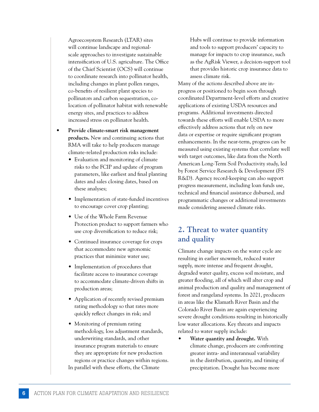Agroecosystem Research (LTAR) sites will continue landscape and regionalscale approaches to investigate sustainable intensification of U.S. agriculture. The Office of the Chief Scientist (OCS) will continue to coordinate research into pollinator health, including changes in plant pollen ranges, co-benefits of resilient plant species to pollinators and carbon sequestration, colocation of pollinator habitat with renewable energy sites, and practices to address increased stress on pollinator health.

- **Provide climate-smart risk management products.** New and continuing actions that RMA will take to help producers manage climate-related production risks include:
	- Evaluation and monitoring of climate risks to the FCIP and update of program parameters, like earliest and final planting dates and sales closing dates, based on these analyses;
	- Implementation of state-funded incentives to encourage cover crop planting;
	- Use of the Whole Farm Revenue Protection product to support farmers who use crop diversification to reduce risk;
	- Continued insurance coverage for crops that accommodate new agronomic practices that minimize water use;
	- Implementation of procedures that facilitate access to insurance coverage to accommodate climate-driven shifts in production areas;
	- Application of recently revised premium rating methodology so that rates more quickly reflect changes in risk; and
	- Monitoring of premium rating methodology, loss adjustment standards, underwriting standards, and other insurance program materials to ensure they are appropriate for new production regions or practice changes within regions. In parallel with these efforts, the Climate

Hubs will continue to provide information and tools to support producers' capacity to manage for impacts to crop insurance, such as the AgRisk Viewer, a decision-support tool that provides historic crop insurance data to assess climate risk.

Many of the actions described above are inprogress or positioned to begin soon through coordinated Department-level efforts and creative applications of existing USDA resources and programs. Additional investments directed towards these efforts will enable USDA to more effectively address actions that rely on new data or expertise or require significant program enhancements. In the near-term, progress can be measured using existing systems that correlate well with target outcomes, like data from the North American Long-Term Soil Productivity study, led by Forest Service Research & Development (FS R&D). Agency record-keeping can also support progress measurement, including loan funds use, technical and financial assistance disbursed, and programmatic changes or additional investments made considering assessed climate risks.

### **2. Threat to water quantity and quality**

Climate change impacts on the water cycle are resulting in earlier snowmelt, reduced water supply, more intense and frequent drought, degraded water quality, excess soil moisture, and greater flooding, all of which will alter crop and animal production and quality and management of forest and rangeland systems. In 2021, producers in areas like the Klamath River Basin and the Colorado River Basin are again experiencing severe drought conditions resulting in historically low water allocations. Key threats and impacts related to water supply include:

• **Water quantity and drought.** With climate change, producers are confronting greater intra- and interannual variability in the distribution, quantity, and timing of precipitation. Drought has become more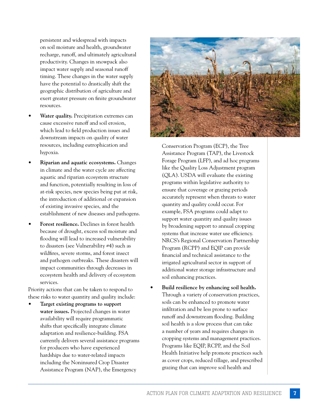persistent and widespread with impacts on soil moisture and health, groundwater recharge, runoff, and ultimately agricultural productivity. Changes in snowpack also impact water supply and seasonal runoff timing. These changes in the water supply have the potential to drastically shift the geographic distribution of agriculture and exert greater pressure on finite groundwater resources.

- Water quality. Precipitation extremes can cause excessive runoff and soil erosion, which lead to field production issues and downstream impacts on quality of water resources, including eutrophication and hypoxia.
- **Riparian and aquatic ecosystems.** Changes in climate and the water cycle are affecting aquatic and riparian ecosystem structure and function, potentially resulting in loss of at-risk species, new species being put at risk, the introduction of additional or expansion of existing invasive species, and the establishment of new diseases and pathogens.
- **Forest resilience.** Declines in forest health because of drought, excess soil moisture and flooding will lead to increased vulnerability to disasters (see Vulnerability #4) such as wildfires, severe storms, and forest insect and pathogen outbreaks. These disasters will impact communities through decreases in ecosystem health and delivery of ecosystem services.

Priority actions that can be taken to respond to these risks to water quantity and quality include:

• **Target existing programs to support water issues.** Projected changes in water availability will require programmatic shifts that specifically integrate climate adaptation and resilience-building. FSA currently delivers several assistance programs for producers who have experienced hardships due to water-related impacts including the Noninsured Crop Disaster Assistance Program (NAP), the Emergency



Conservation Program (ECP), the Tree Assistance Program (TAP), the Livestock Forage Program (LFP), and ad hoc programs like the Quality Loss Adjustment program (QLA). USDA will evaluate the existing programs within legislative authority to ensure that coverage or grazing periods accurately represent when threats to water quantity and quality could occur. For example, FSA programs could adapt to support water quantity and quality issues by broadening support to annual cropping systems that increase water use efficiency. NRCS's Regional Conservation Partnership Program (RCPP) and EQIP can provide financial and technical assistance to the irrigated agricultural sector in support of additional water storage infrastructure and soil enhancing practices.

• **Build resilience by enhancing soil health.** Through a variety of conservation practices, soils can be enhanced to promote water infiltration and be less prone to surface runoff and downstream flooding. Building soil health is a slow process that can take a number of years and requires changes in cropping systems and management practices. Programs like EQIP, RCPP, and the Soil Health Initiative help promote practices such as cover crops, reduced tillage, and prescribed grazing that can improve soil health and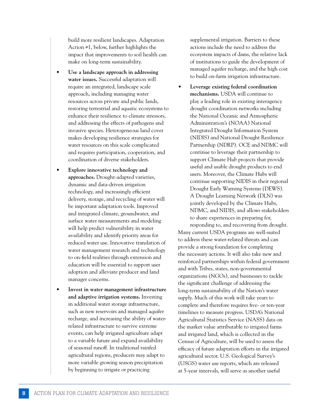build more resilient landscapes. Adaptation Action #1, below, further highlights the impact that improvements to soil health can make on long-term sustainability.

- **Use a landscape approach in addressing water issues.** Successful adaptation will require an integrated, landscape scale approach, including managing water resources across private and public lands, restoring terrestrial and aquatic ecosystems to enhance their resilience to climate stressors, and addressing the effects of pathogens and invasive species. Heterogeneous land cover makes developing resilience strategies for water resources on this scale complicated and requires participation, cooperation, and coordination of diverse stakeholders.
- **Explore innovative technology and approaches.** Drought-adapted varieties, dynamic and data-driven irrigation technology, and increasingly efficient delivery, storage, and recycling of water will be important adaptation tools. Improved and integrated climate, groundwater, and surface water measurements and modeling will help predict vulnerability in water availability and identify priority areas for reduced water use. Innovative translation of water management research and technology to on-field realities through extension and education will be essential to support user adoption and alleviate producer and land manager concerns.
- **Invest in water management infrastructure and adaptive irrigation systems.** Investing in additional water storage infrastructure, such as new reservoirs and managed aquifer recharge, and increasing the ability of waterrelated infrastructure to survive extreme events, can help irrigated agriculture adapt to a variable future and expand availability of seasonal runoff. In traditional rainfed agricultural regions, producers may adapt to more variable growing season precipitation by beginning to irrigate or practicing

supplemental irrigation. Barriers to these actions include the need to address the ecosystem impacts of dams, the relative lack of institutions to guide the development of managed aquifer recharge, and the high cost to build on-farm irrigation infrastructure.

• **Leverage existing federal coordination mechanisms.** USDA will continue to play a leading role in existing interagency drought coordination networks including the National Oceanic and Atmospheric Administration's (NOAA) National Integrated Drought Information System (NIDIS) and National Drought Resilience Partnership (NDRP). OCE and NDMC will continue to leverage their partnership to support Climate Hub projects that provide useful and usable drought products to end users. Moreover, the Climate Hubs will continue supporting NIDIS in their regional Drought Early Warning Systems (DEWS). A Drought Learning Network (DLN) was jointly developed by the Climate Hubs, NDMC, and NIDIS, and allows stakeholders to share experiences in preparing for, responding to, and recovering from drought.

Many current USDA programs are well-suited to address these water-related threats and can provide a strong foundation for completing the necessary actions. It will also take new and reinforced partnerships within federal government and with Tribes, states, non-governmental organizations (NGOs), and businesses to tackle the significant challenge of addressing the long-term sustainability of the Nation's water supply. Much of this work will take years to complete and therefore requires five- or ten-year timelines to measure progress. USDA's National Agricultural Statistics Service (NASS) data on the market value attributable to irrigated farms and irrigated land, which is collected in the Census of Agriculture, will be used to assess the efficacy of future adaptation efforts in the irrigated agricultural sector. U.S. Geological Survey's (USGS) water use reports, which are released at 5-year intervals, will serve as another useful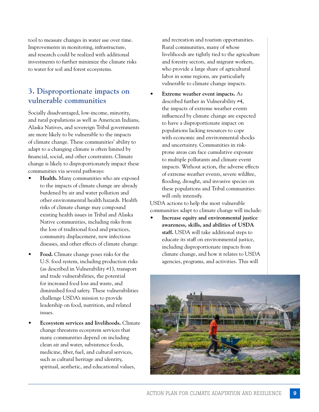tool to measure changes in water use over time. Improvements in monitoring, infrastructure, and research could be realized with additional investments to further minimize the climate risks to water for soil and forest ecosystems.

### **3. Disproportionate impacts on vulnerable communities**

Socially disadvantaged, low-income, minority, and rural populations as well as American Indians, Alaska Natives, and sovereign Tribal governments are more likely to be vulnerable to the impacts of climate change. These communities' ability to adapt to a changing climate is often limited by financial, social, and other constraints. Climate change is likely to disproportionately impact these communities via several pathways:

- **Health.** Many communities who are exposed to the impacts of climate change are already burdened by air and water pollution and other environmental health hazards. Health risks of climate change may compound existing health issues in Tribal and Alaska Native communities, including risks from the loss of traditional food and practices, community displacement, new infectious diseases, and other effects of climate change.
- **Food.** Climate change poses risks for the U.S. food system, including production risks (as described in Vulnerability #1), transport and trade vulnerabilities, the potential for increased food loss and waste, and diminished food safety. These vulnerabilities challenge USDA's mission to provide leadership on food, nutrition, and related issues.
- **Ecosystem services and livelihoods.** Climate change threatens ecosystem services that many communities depend on including clean air and water, subsistence foods, medicine, fiber, fuel, and cultural services, such as cultural heritage and identity, spiritual, aesthetic, and educational values,

and recreation and tourism opportunities. Rural communities, many of whose livelihoods are tightly tied to the agriculture and forestry sectors, and migrant workers, who provide a large share of agricultural labor in some regions, are particularly vulnerable to climate change impacts.

• **Extreme weather event impacts.** As described further in Vulnerability #4, the impacts of extreme weather events influenced by climate change are expected to have a disproportionate impact on populations lacking resources to cope with economic and environmental shocks and uncertainty. Communities in riskprone areas can face cumulative exposure to multiple pollutants and climate event impacts. Without action, the adverse effects of extreme weather events, severe wildfire, flooding, drought, and invasive species on these populations and Tribal communities will only intensify.

USDA actions to help the most vulnerable communities adapt to climate change will include:

• **Increase equity and environmental justice awareness, skills, and abilities of USDA staff.** USDA will take additional steps to educate its staff on environmental justice, including disproportionate impacts from climate change, and how it relates to USDA agencies, programs, and activities. This will

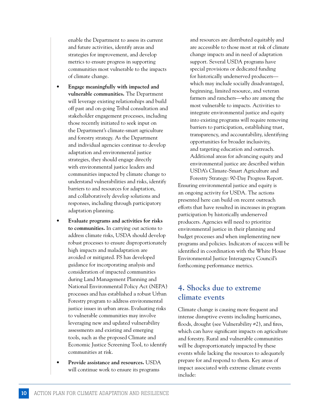enable the Department to assess its current and future activities, identify areas and strategies for improvement, and develop metrics to ensure progress in supporting communities most vulnerable to the impacts of climate change.

- **Engage meaningfully with impacted and vulnerable communities.** The Department will leverage existing relationships and build off past and on-going Tribal consultation and stakeholder engagement processes, including those recently initiated to seek input on the Department's climate-smart agriculture and forestry strategy. As the Department and individual agencies continue to develop adaptation and environmental justice strategies, they should engage directly with environmental justice leaders and communities impacted by climate change to understand vulnerabilities and risks, identify barriers to and resources for adaptation, and collaboratively develop solutions and responses, including through participatory adaptation planning.
- **Evaluate programs and activities for risks to communities.** In carrying out actions to address climate risks, USDA should develop robust processes to ensure disproportionately high impacts and maladaptation are avoided or mitigated. FS has developed guidance for incorporating analysis and consideration of impacted communities during Land Management Planning and National Environmental Policy Act (NEPA) processes and has established a robust Urban Forestry program to address environmental justice issues in urban areas. Evaluating risks to vulnerable communities may involve leveraging new and updated vulnerability assessments and existing and emerging tools, such as the proposed Climate and Economic Justice Screening Tool, to identify communities at risk.
- **Provide assistance and resources.** USDA will continue work to ensure its programs

and resources are distributed equitably and are accessible to those most at risk of climate change impacts and in need of adaptation support. Several USDA programs have special provisions or dedicated funding for historically underserved producers which may include socially disadvantaged, beginning, limited resource, and veteran farmers and ranchers—who are among the most vulnerable to impacts. Activities to integrate environmental justice and equity into existing programs will require removing barriers to participation, establishing trust, transparency, and accountability, identifying opportunities for broader inclusivity, and targeting education and outreach. Additional areas for advancing equity and environmental justice are described within USDA's Climate-Smart Agriculture and

Forestry Strategy: 90-Day Progress Report. Ensuring environmental justice and equity is an ongoing activity for USDA. The actions presented here can build on recent outreach efforts that have resulted in increases in program participation by historically underserved producers. Agencies will need to prioritize environmental justice in their planning and budget processes and when implementing new programs and policies. Indicators of success will be identified in coordination with the White House Environmental Justice Interagency Council's forthcoming performance metrics.

### **4. Shocks due to extreme climate events**

Climate change is causing more frequent and intense disruptive events including hurricanes, floods, drought (see Vulnerability #2), and fires, which can have significant impacts on agriculture and forestry. Rural and vulnerable communities will be disproportionately impacted by these events while lacking the resources to adequately prepare for and respond to them. Key areas of impact associated with extreme climate events include: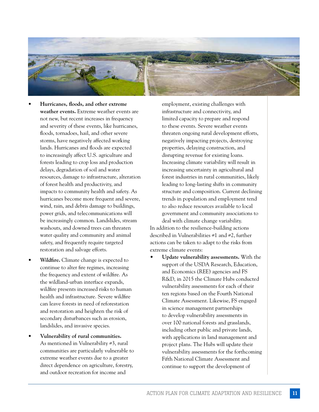

- **Hurricanes, floods, and other extreme weather events.** Extreme weather events are not new, but recent increases in frequency and severity of these events, like hurricanes, floods, tornadoes, hail, and other severe storms, have negatively affected working lands. Hurricanes and floods are expected to increasingly affect U.S. agriculture and forests leading to crop loss and production delays, degradation of soil and water resources, damage to infrastructure, alteration of forest health and productivity, and impacts to community health and safety. As hurricanes become more frequent and severe, wind, rain, and debris damage to buildings, power grids, and telecommunications will be increasingly common. Landslides, stream washouts, and downed trees can threaten water quality and community and animal safety, and frequently require targeted restoration and salvage efforts.
- Wildfire. Climate change is expected to continue to alter fire regimes, increasing the frequency and extent of wildfire. As the wildland-urban interface expands, wildfire presents increased risks to human health and infrastructure. Severe wildfire can leave forests in need of reforestation and restoration and heighten the risk of secondary disturbances such as erosion, landslides, and invasive species.
- **Vulnerability of rural communities.**  As mentioned in Vulnerability #3, rural communities are particularly vulnerable to extreme weather events due to a greater direct dependence on agriculture, forestry, and outdoor recreation for income and

employment, existing challenges with infrastructure and connectivity, and limited capacity to prepare and respond to these events. Severe weather events threaten ongoing rural development efforts, negatively impacting projects, destroying properties, delaying construction, and disrupting revenue for existing loans. Increasing climate variability will result in increasing uncertainty in agricultural and forest industries in rural communities, likely leading to long-lasting shifts in community structure and composition. Current declining trends in population and employment tend to also reduce resources available to local government and community associations to deal with climate change variability.

In addition to the resilience-building actions described in Vulnerabilities #1 and #2, further actions can be taken to adapt to the risks from extreme climate events:

• **Update vulnerability assessments.** With the support of the USDA Research, Education, and Economics (REE) agencies and FS R&D, in 2015 the Climate Hubs conducted vulnerability assessments for each of their ten regions based on the Fourth National Climate Assessment. Likewise, FS engaged in science management partnerships to develop vulnerability assessments in over 100 national forests and grasslands, including other public and private lands, with applications in land management and project plans. The Hubs will update their vulnerability assessments for the forthcoming Fifth National Climate Assessment and continue to support the development of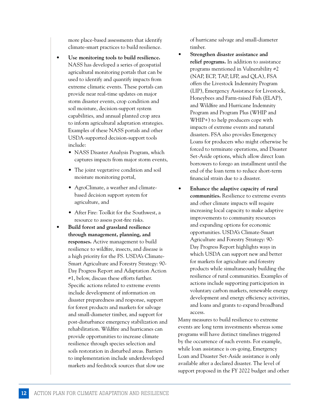more place-based assessments that identify climate-smart practices to build resilience.

- **Use monitoring tools to build resilience.**  NASS has developed a series of geospatial agricultural monitoring portals that can be used to identify and quantify impacts from extreme climatic events. These portals can provide near real-time updates on major storm disaster events, crop condition and soil moisture, decision-support system capabilities, and annual planted crop area to inform agricultural adaptation strategies. Examples of these NASS portals and other USDA-supported decision-support tools include:
	- NASS Disaster Analysis Program, which captures impacts from major storm events,
	- The joint vegetative condition and soil moisture monitoring portal,
	- AgroClimate, a weather and climatebased decision support system for agriculture, and
	- After Fire: Toolkit for the Southwest, a resource to assess post-fire risks.
- **Build forest and grassland resilience through management, planning, and responses.** Active management to build resilience to wildfire, insects, and disease is a high priority for the FS. USDA's Climate-Smart Agriculture and Forestry Strategy: 90- Day Progress Report and Adaptation Action #1, below, discuss these efforts further. Specific actions related to extreme events include development of information on disaster preparedness and response, support for forest products and markets for salvage and small-diameter timber, and support for post-disturbance emergency stabilization and rehabilitation. Wildfire and hurricanes can provide opportunities to increase climate resilience through species selection and soils restoration in disturbed areas. Barriers to implementation include underdeveloped markets and feedstock sources that slow use

of hurricane salvage and small-diameter timber.

- **Strengthen disaster assistance and relief programs.** In addition to assistance programs mentioned in Vulnerability #2 (NAP, ECP, TAP, LFP, and QLA), FSA offers the Livestock Indemnity Program (LIP), Emergency Assistance for Livestock, Honeybees and Farm-raised Fish (ELAP), and Wildfire and Hurricane Indemnity Program and Program Plus (WHIP and WHIP+) to help producers cope with impacts of extreme events and natural disasters. FSA also provides Emergency Loans for producers who might otherwise be forced to terminate operations, and Disaster Set-Aside options, which allow direct loan borrowers to forego an installment until the end of the loan term to reduce short-term financial strain due to a disaster.
- **Enhance the adaptive capacity of rural communities.** Resilience to extreme events and other climate impacts will require increasing local capacity to make adaptive improvements to community resources and expanding options for economic opportunities. USDA's Climate-Smart Agriculture and Forestry Strategy: 90- Day Progress Report highlights ways in which USDA can support new and better for markets for agriculture and forestry products while simultaneously building the resilience of rural communities. Examples of actions include supporting participation in voluntary carbon markets, renewable energy development and energy efficiency activities, and loans and grants to expand broadband access.

Many measures to build resilience to extreme events are long term investments whereas some programs will have distinct timelines triggered by the occurrence of such events. For example, while loan assistance is on-going, Emergency Loan and Disaster Set-Aside assistance is only available after a declared disaster. The level of support proposed in the FY 2022 budget and other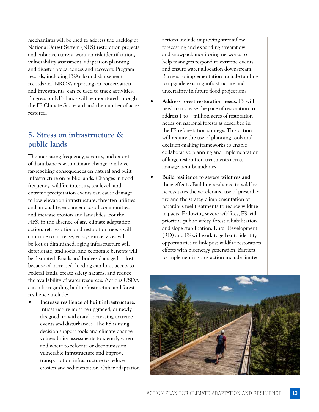mechanisms will be used to address the backlog of National Forest System (NFS) restoration projects and enhance current work on risk identification, vulnerability assessment, adaptation planning, and disaster preparedness and recovery. Program records, including FSA's loan disbursement records and NRCS's reporting on conservation and investments, can be used to track activities. Progress on NFS lands will be monitored through the FS Climate Scorecard and the number of acres restored.

### **5. Stress on infrastructure & public lands**

The increasing frequency, severity, and extent of disturbances with climate change can have far-reaching consequences on natural and built infrastructure on public lands. Changes in flood frequency, wildfire intensity, sea level, and extreme precipitation events can cause damage to low-elevation infrastructure, threaten utilities and air quality, endanger coastal communities, and increase erosion and landslides. For the NFS, in the absence of any climate adaptation action, reforestation and restoration needs will continue to increase, ecosystem services will be lost or diminished, aging infrastructure will deteriorate, and social and economic benefits will be disrupted. Roads and bridges damaged or lost because of increased flooding can limit access to Federal lands, create safety hazards, and reduce the availability of water resources. Actions USDA can take regarding built infrastructure and forest resilience include:

• **Increase resilience of built infrastructure.**  Infrastructure must be upgraded, or newly designed, to withstand increasing extreme events and disturbances. The FS is using decision support tools and climate change vulnerability assessments to identify when and where to relocate or decommission vulnerable infrastructure and improve transportation infrastructure to reduce erosion and sedimentation. Other adaptation

actions include improving streamflow forecasting and expanding streamflow and snowpack monitoring networks to help managers respond to extreme events and ensure water allocation downstream. Barriers to implementation include funding to upgrade existing infrastructure and uncertainty in future flood projections.

- **Address forest restoration needs.** FS will need to increase the pace of restoration to address 1 to 4 million acres of restoration needs on national forests as described in the FS reforestation strategy. This action will require the use of planning tools and decision-making frameworks to enable collaborative planning and implementation of large restoration treatments across management boundaries.
- **Build resilience to severe wildfires and their effects.** Building resilience to wildfire necessitates the accelerated use of prescribed fire and the strategic implementation of hazardous fuel treatments to reduce wildfire impacts. Following severe wildfires, FS will prioritize public safety, forest rehabilitation, and slope stabilization. Rural Development (RD) and FS will work together to identify opportunities to link post wildfire restoration efforts with bioenergy generation. Barriers to implementing this action include limited

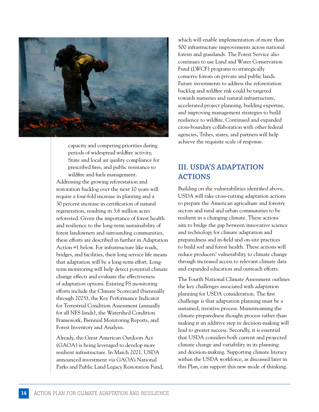

capacity and competing priorities during periods of widespread wildfire activity, State and local air quality compliance for prescribed fires, and public resistance to wildfire and fuels management. Addressing the growing reforestation and restoration backlog over the next 10 years will require a four-fold increase in planting and a 30 percent increase in certification of natural regeneration, resulting in 3.6 million acres reforested. Given the importance of forest health and resilience to the long-term sustainability of forest landowners and surrounding communities, these efforts are described in further in Adaptation Action #1 below. For infrastructure like roads, bridges, and facilities, their long service life means that adaptation will be a long-term effort. Longterm monitoring will help detect potential climate change effects and evaluate the effectiveness of adaptation options. Existing FS monitoring efforts include the Climate Scorecard (biennially through 2025), the Key Performance Indicator for Terrestrial Condition Assessment (annually for all NFS lands), the Watershed Condition Framework, Biennial Monitoring Reports, and Forest Inventory and Analysis.

Already, the Great American Outdoors Act (GAOA) is being leveraged to develop more resilient infrastructure. In March 2021, USDA announced investment via GAOA's National Parks and Public Land Legacy Restoration Fund,

which will enable implementation of more than 500 infrastructure improvements across national forests and grasslands. The Forest Service also continues to use Land and Water Conservation Fund (LWCF) programs to strategically conserve forests on private and public lands. Future investments to address the reforestation backlog and wildfire risk could be targeted towards nurseries and natural infrastructure, accelerated project planning, building expertise, and improving management strategies to build resilience to wildfire. Continued and expanded cross-boundary collaboration with other federal agencies, Tribes, states, and partners will help achieve the requisite scale of response.

### **III. USDA'S ADAPTATION ACTIONS**

Building on the vulnerabilities identified above, USDA will take cross-cutting adaptation actions to prepare the American agriculture and forestry sectors and rural and urban communities to be resilient in a changing climate. These actions aim to bridge the gap between innovative science and technology for climate adaptation and preparedness and in-field and on-site practices to build soil and forest health. These actions will reduce producers' vulnerability to climate change through increased access to relevant climate data and expanded education and outreach efforts.

The Fourth National Climate Assessment outlines the key challenges associated with adaptation planning for USDA consideration. The first challenge is that adaptation planning must be a sustained, iterative process. Mainstreaming the climate preparedness thought process rather than making it an additive step in decision-making will lead to greater success. Secondly, it is essential that USDA considers both current and projected climate change and variability in its planning and decision-making. Supporting climate literacy within the USDA workforce, as discussed later in this Plan, can support this new mode of thinking.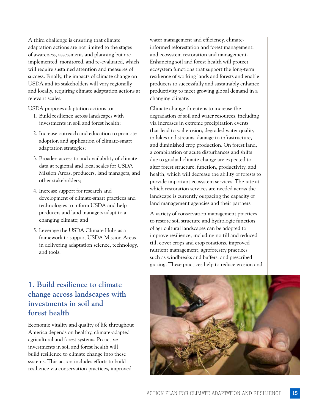A third challenge is ensuring that climate adaptation actions are not limited to the stages of awareness, assessment, and planning but are implemented, monitored, and re-evaluated, which will require sustained attention and measures of success. Finally, the impacts of climate change on USDA and its stakeholders will vary regionally and locally, requiring climate adaptation actions at relevant scales.

USDA proposes adaptation actions to:

- 1. Build resilience across landscapes with investments in soil and forest health;
- 2. Increase outreach and education to promote adoption and application of climate-smart adaptation strategies;
- 3. Broaden access to and availability of climate data at regional and local scales for USDA Mission Areas, producers, land managers, and other stakeholders;
- 4. Increase support for research and development of climate-smart practices and technologies to inform USDA and help producers and land managers adapt to a changing climate; and
- 5. Leverage the USDA Climate Hubs as a framework to support USDA Mission Areas in delivering adaptation science, technology, and tools.

#### water management and efficiency, climateinformed reforestation and forest management, and ecosystem restoration and management. Enhancing soil and forest health will protect ecosystem functions that support the long-term resilience of working lands and forests and enable producers to successfully and sustainably enhance productivity to meet growing global demand in a changing climate.

Climate change threatens to increase the degradation of soil and water resources, including via increases in extreme precipitation events that lead to soil erosion, degraded water quality in lakes and streams, damage to infrastructure, and diminished crop production. On forest land, a combination of acute disturbances and shifts due to gradual climate change are expected to alter forest structure, function, productivity, and health, which will decrease the ability of forests to provide important ecosystem services. The rate at which restoration services are needed across the landscape is currently outpacing the capacity of land management agencies and their partners.

A variety of conservation management practices to restore soil structure and hydrologic function of agricultural landscapes can be adopted to improve resilience, including no till and reduced till, cover crops and crop rotations, improved nutrient management, agroforestry practices such as windbreaks and buffers, and prescribed grazing. These practices help to reduce erosion and

### **1. Build resilience to climate change across landscapes with investments in soil and forest health**

Economic vitality and quality of life throughout America depends on healthy, climate-adapted agricultural and forest systems. Proactive investments in soil and forest health will build resilience to climate change into these systems. This action includes efforts to build resilience via conservation practices, improved

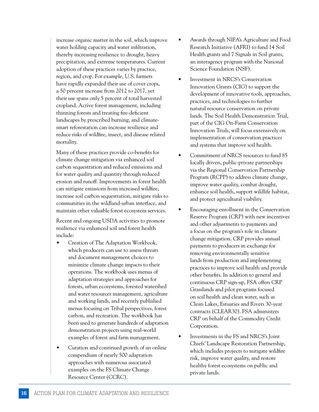increase organic matter in the soil, which improve water holding capacity and water infiltration, thereby increasing resilience to drought, heavy precipitation, and extreme temperatures. Current adoption of these practices varies by practice, region, and crop. For example, U.S. farmers have rapidly expanded their use of cover crops, a 50 percent increase from 2012 to 2017, yet their use spans only 5 percent of total harvested cropland. Active forest management, including thinning forests and treating fire-deficient landscapes by prescribed burning, and climatesmart reforestation can increase resilience and reduce risks of wildfire, insect, and disease related mortality.

Many of these practices provide co-benefits for climate change mitigation via enhanced soil carbon sequestration and reduced emissions and for water quality and quantity through reduced erosion and runoff. Improvements in forest health can mitigate emissions from increased wildfire, increase soil carbon sequestration, mitigate risks to communities in the wildland-urban interface, and maintain other valuable forest ecosystem services.

Recent and ongoing USDA activities to promote resilience via enhanced soil and forest health include:

- Creation of The Adaptation Workbook, which producers can use to assess threats and document management choices to minimize climate change impacts to their operations. The workbook uses menus of adaptation strategies and approaches for forests, urban ecosystems, forested watershed and water resources management, agriculture and working lands, and recently published menus focusing on Tribal perspectives, forest carbon, and recreation. The workbook has been used to generate hundreds of adaptation demonstration projects using real-world examples of forest and farm management.
- Curation and continued growth of an online compendium of nearly 500 adaptation approaches with numerous associated examples on the FS Climate Change Resource Center (CCRC).
- Awards through NIFA's Agriculture and Food Research Initiative (AFRI) to fund 14 Soil Health grants and 7 Signals in Soil grants, an interagency program with the National Science Foundation (NSF).
- Investment in NRCS's Conservation Innovation Grants (CIG) to support the development of innovative tools, approaches, practices, and technologies to further natural resource conservation on private lands. The Soil Health Demonstration Trial, part of the CIG On-Farm Conservation Innovation Trials, will focus extensively on implementation of conservation practices and systems that improve soil health.
- Commitment of NRCS resources to fund 85 locally driven, public-private partnerships via the Regional Conservation Partnership Program (RCPP) to address climate change, improve water quality, combat drought, enhance soil health, support wildlife habitat, and protect agricultural viability.
- Encouraging enrollment in the Conservation Reserve Program (CRP) with new incentives and other adjustments to payments and a focus on the program's role in climate change mitigation. CRP provides annual payments to producers in exchange for removing environmentally sensitive lands from production and implementing practices to improve soil health and provide other benefits. In addition to general and continuous CRP sign-up, FSA offers CRP Grasslands and pilot programs focused on soil health and clean water, such as Clean Lakes, Estuaries and Rivers 30-year contracts (CLEAR30). FSA administers CRP on behalf of the Commodity Credit Corporation.
- Investments in the FS and NRCS's Joint Chiefs' Landscape Restoration Partnership, which includes projects to mitigate wildfire risk, improve water quality, and restore healthy forest ecosystems on public and private lands.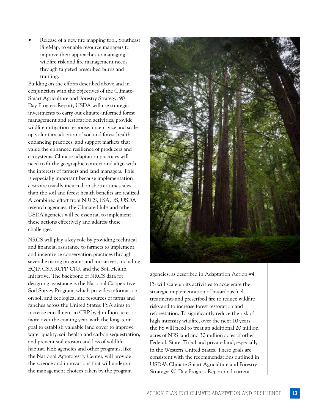• Release of a new fire mapping tool, Southeast FireMap, to enable resource managers to improve their approaches to managing wildfire risk and fire management needs through targeted prescribed burns and training.

Building on the efforts described above and in conjunction with the objectives of the Climate-Smart Agriculture and Forestry Strategy: 90- Day Progress Report, USDA will use strategic investments to carry out climate-informed forest management and restoration activities, provide wildfire mitigation response, incentivize and scale up voluntary adoption of soil and forest health enhancing practices, and support markets that value the enhanced resilience of producers and ecosystems. Climate-adaptation practices will need to fit the geographic context and align with the interests of farmers and land managers. This is especially important because implementation costs are usually incurred on shorter timescales than the soil and forest health benefits are realized. A combined effort from NRCS, FSA, FS, USDA research agencies, the Climate Hubs and other USDA agencies will be essential to implement these actions effectively and address these challenges.

NRCS will play a key role by providing technical and financial assistance to farmers to implement and incentivize conservation practices through several existing programs and initiatives, including EQIP, CSP, RCPP, CIG, and the Soil Health Initiative. The backbone of NRCS data for designing assistance is the National Cooperative Soil Survey Program, which provides information on soil and ecological site resources of farms and ranches across the United States. FSA aims to increase enrollment in CRP by 4 million acres or more over the coming year, with the long-term goal to establish valuable land cover to improve water quality, soil health and carbon sequestration, and prevent soil erosion and loss of wildlife habitat. REE agencies and other programs, like the National Agroforestry Center, will provide the science and innovations that will underpin the management choices taken by the program



agencies, as described in Adaptation Action #4.

FS will scale up its activities to accelerate the strategic implementation of hazardous fuel treatments and prescribed fire to reduce wildfire risks and to increase forest restoration and reforestation. To significantly reduce the risk of high intensity wildfire, over the next 10 years, the FS will need to treat an additional 20 million acres of NFS land and 30 million acres of other Federal, State, Tribal and private land, especially in the Western United States. These goals are consistent with the recommendations outlined in USDA's Climate Smart Agriculture and Forestry Strategy: 90-Day Progress Report and current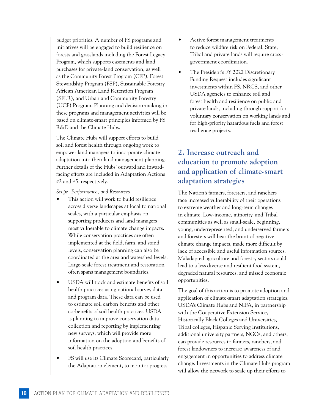budget priorities. A number of FS programs and initiatives will be engaged to build resilience on forests and grasslands including the Forest Legacy Program, which supports easements and land purchases for private-land conservation, as well as the Community Forest Program (CFP), Forest Stewardship Program (FSP), Sustainable Forestry African American Land Retention Program (SFLR), and Urban and Community Forestry (UCF) Program. Planning and decision-making in these programs and management activities will be based on climate-smart principles informed by FS R&D and the Climate Hubs.

The Climate Hubs will support efforts to build soil and forest health through ongoing work to empower land managers to incorporate climate adaptation into their land management planning. Further details of the Hubs' outward and inwardfacing efforts are included in Adaptation Actions  $#2$  and  $#5$ , respectively.

*Scope, Performance, and Resources*

- This action will work to build resilience across diverse landscapes at local to national scales, with a particular emphasis on supporting producers and land managers most vulnerable to climate change impacts. While conservation practices are often implemented at the field, farm, and stand levels, conservation planning can also be coordinated at the area and watershed levels. Large-scale forest treatment and restoration often spans management boundaries.
- USDA will track and estimate benefits of soil health practices using national survey data and program data. These data can be used to estimate soil carbon benefits and other co-benefits of soil health practices. USDA is planning to improve conservation data collection and reporting by implementing new surveys, which will provide more information on the adoption and benefits of soil health practices.
- FS will use its Climate Scorecard, particularly the Adaptation element, to monitor progress.
- Active forest management treatments to reduce wildfire risk on Federal, State, Tribal and private lands will require crossgovernment coordination.
- The President's FY 2022 Discretionary Funding Request includes significant investments within FS, NRCS, and other USDA agencies to enhance soil and forest health and resilience on public and private lands, including through support for voluntary conservation on working lands and for high-priority hazardous fuels and forest resilience projects.

### **2. Increase outreach and education to promote adoption and application of climate-smart adaptation strategies**

The Nation's farmers, foresters, and ranchers face increased vulnerability of their operations to extreme weather and long-term changes in climate. Low-income, minority, and Tribal communities as well as small-scale, beginning, young, underrepresented, and underserved farmers and foresters will bear the brunt of negative climate change impacts, made more difficult by lack of accessible and useful information sources. Maladapted agriculture and forestry sectors could lead to a less diverse and resilient food system, degraded natural resources, and missed economic opportunities.

The goal of this action is to promote adoption and application of climate-smart adaptation strategies. USDA's Climate Hubs and NIFA, in partnership with the Cooperative Extension Service, Historically Black Colleges and Universities, Tribal colleges, Hispanic Serving Institutions, additional university partners, NGOs, and others, can provide resources to farmers, ranchers, and forest landowners to increase awareness of and engagement in opportunities to address climate change. Investments in the Climate Hubs program will allow the network to scale up their efforts to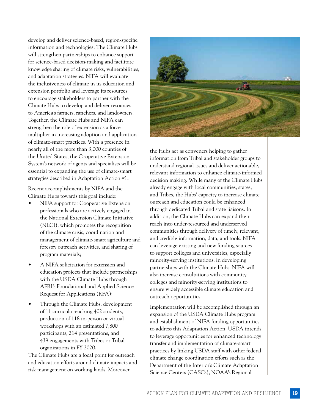develop and deliver science-based, region-specific information and technologies. The Climate Hubs will strengthen partnerships to enhance support for science-based decision-making and facilitate knowledge sharing of climate risks, vulnerabilities, and adaptation strategies. NIFA will evaluate the inclusiveness of climate in its education and extension portfolio and leverage its resources to encourage stakeholders to partner with the Climate Hubs to develop and deliver resources to America's farmers, ranchers, and landowners. Together, the Climate Hubs and NIFA can strengthen the role of extension as a force multiplier in increasing adoption and application of climate-smart practices. With a presence in nearly all of the more than 3,000 counties of the United States, the Cooperative Extension System's network of agents and specialists will be essential to expanding the use of climate-smart strategies described in Adaptation Action #1.

Recent accomplishments by NIFA and the Climate Hubs towards this goal include:

- NIFA support for Cooperative Extension professionals who are actively engaged in the National Extension Climate Initiative (NECI), which promotes the recognition of the climate crisis, coordination and management of climate-smart agriculture and forestry outreach activities, and sharing of program materials;
- A NIFA solicitation for extension and education projects that include partnerships with the USDA Climate Hubs through AFRI's Foundational and Applied Science Request for Applications (RFA);
- Through the Climate Hubs, development of 11 curricula reaching 402 students, production of 118 in-person or virtual workshops with an estimated 7,800 participants, 214 presentations, and 439 engagements with Tribes or Tribal organizations in FY 2020.

The Climate Hubs are a focal point for outreach and education efforts around climate impacts and risk management on working lands. Moreover,



the Hubs act as conveners helping to gather information from Tribal and stakeholder groups to understand regional issues and deliver actionable, relevant information to enhance climate-informed decision making. While many of the Climate Hubs already engage with local communities, states, and Tribes, the Hubs' capacity to increase climate outreach and education could be enhanced through dedicated Tribal and state liaisons. In addition, the Climate Hubs can expand their reach into under-resourced and underserved communities through delivery of timely, relevant, and credible information, data, and tools. NIFA can leverage existing and new funding sources to support colleges and universities, especially minority-serving institutions, in developing partnerships with the Climate Hubs. NIFA will also increase consultations with community colleges and minority-serving institutions to ensure widely accessible climate education and outreach opportunities.

Implementation will be accomplished through an expansion of the USDA Climate Hubs program and establishment of NIFA funding opportunities to address this Adaptation Action. USDA intends to leverage opportunities for enhanced technology transfer and implementation of climate-smart practices by linking USDA staff with other federal climate change coordination efforts such as the Department of the Interior's Climate Adaptation Science Centers (CASCs), NOAA's Regional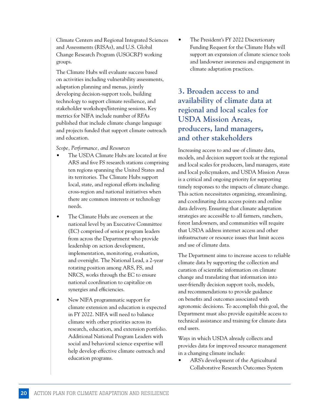Climate Centers and Regional Integrated Sciences and Assessments (RISAs), and U.S. Global Change Research Program (USGCRP) working groups.

The Climate Hubs will evaluate success based on activities including vulnerability assessments, adaptation planning and menus, jointly developing decision-support tools, building technology to support climate resilience, and stakeholder workshops/listening sessions. Key metrics for NIFA include number of RFAs published that include climate change language and projects funded that support climate outreach and education.

*Scope, Performance, and Resources*

- The USDA Climate Hubs are located at five ARS and five FS research stations comprising ten regions spanning the United States and its territories. The Climate Hubs support local, state, and regional efforts including cross-region and national initiatives when there are common interests or technology needs.
- The Climate Hubs are overseen at the national level by an Executive Committee (EC) comprised of senior program leaders from across the Department who provide leadership on action development, implementation, monitoring, evaluation, and oversight. The National Lead, a 2-year rotating position among ARS, FS, and NRCS, works through the EC to ensure national coordination to capitalize on synergies and efficiencies.
- New NIFA programmatic support for climate extension and education is expected in FY 2022. NIFA will need to balance climate with other priorities across its research, education, and extension portfolio. Additional National Program Leaders with social and behavioral science expertise will help develop effective climate outreach and education programs.

• The President's FY 2022 Discretionary Funding Request for the Climate Hubs will support an expansion of climate science tools and landowner awareness and engagement in climate adaptation practices.

### **3. Broaden access to and availability of climate data at regional and local scales for USDA Mission Areas, producers, land managers, and other stakeholders**

Increasing access to and use of climate data, models, and decision support tools at the regional and local scales for producers, land managers, state and local policymakers, and USDA Mission Areas is a critical and ongoing priority for supporting timely responses to the impacts of climate change. This action necessitates organizing, streamlining, and coordinating data access points and online data delivery. Ensuring that climate adaptation strategies are accessible to all farmers, ranchers, forest landowners, and communities will require that USDA address internet access and other infrastructure or resource issues that limit access and use of climate data.

The Department aims to increase access to reliable climate data by supporting the collection and curation of scientific information on climate change and translating that information into user-friendly decision support tools, models, and recommendations to provide guidance on benefits and outcomes associated with agronomic decisions. To accomplish this goal, the Department must also provide equitable access to technical assistance and training for climate data end users.

Ways in which USDA already collects and provides data for improved resource management in a changing climate include:

• ARS's development of the Agricultural Collaborative Research Outcomes System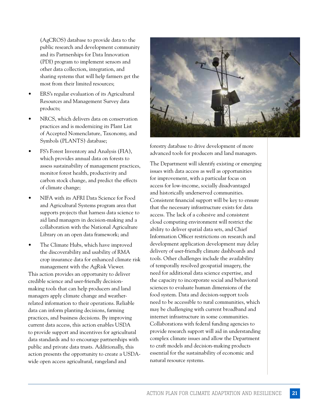(AgCROS) database to provide data to the public research and development community and its Partnerships for Data Innovation (PDI) program to implement sensors and other data collection, integration, and sharing systems that will help farmers get the most from their limited resources;

- ERS's regular evaluation of its Agricultural Resources and Management Survey data products;
- NRCS, which delivers data on conservation practices and is modernizing its Plant List of Accepted Nomenclature, Taxonomy, and Symbols (PLANTS) database;
- FS's Forest Inventory and Analysis (FIA), which provides annual data on forests to assess sustainability of management practices, monitor forest health, productivity and carbon stock change, and predict the effects of climate change;
- NIFA with its AFRI Data Science for Food and Agricultural Systems program area that supports projects that harness data science to aid land managers in decision-making and a collaboration with the National Agriculture Library on an open data framework; and
- The Climate Hubs, which have improved the discoverability and usability of RMA crop insurance data for enhanced climate risk management with the AgRisk Viewer.

This action provides an opportunity to deliver credible science and user-friendly decisionmaking tools that can help producers and land managers apply climate change and weatherrelated information to their operations. Reliable data can inform planting decisions, farming practices, and business decisions. By improving current data access, this action enables USDA to provide support and incentives for agricultural data standards and to encourage partnerships with public and private data trusts. Additionally, this action presents the opportunity to create a USDAwide open access agricultural, rangeland and



forestry database to drive development of more advanced tools for producers and land managers.

The Department will identify existing or emerging issues with data access as well as opportunities for improvement, with a particular focus on access for low-income, socially disadvantaged and historically underserved communities. Consistent financial support will be key to ensure that the necessary infrastructure exists for data access. The lack of a cohesive and consistent cloud computing environment will restrict the ability to deliver spatial data sets, and Chief Information Officer restrictions on research and development application development may delay delivery of user-friendly climate dashboards and tools. Other challenges include the availability of temporally resolved geospatial imagery, the need for additional data science expertise, and the capacity to incorporate social and behavioral sciences to evaluate human dimensions of the food system. Data and decision-support tools need to be accessible to rural communities, which may be challenging with current broadband and internet infrastructure in some communities. Collaborations with federal funding agencies to provide research support will aid in understanding complex climate issues and allow the Department to craft models and decision-making products essential for the sustainability of economic and natural resource systems.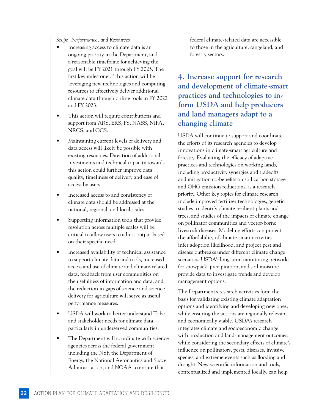*Scope, Performance, and Resources*

- Increasing access to climate data is an ongoing priority in the Department, and a reasonable timeframe for achieving the goal will be FY 2021 through FY 2025. The first key milestone of this action will be leveraging new technologies and computing resources to effectively deliver additional climate data through online tools in FY 2022 and FY 2023.
- This action will require contributions and support from ARS, ERS, FS, NASS, NIFA, NRCS, and OCS.
- Maintaining current levels of delivery and data access will likely be possible with existing resources. Direction of additional investments and technical capacity towards this action could further improve data quality, timeliness of delivery and ease of access by users.
- Increased access to and consistency of climate data should be addressed at the national, regional, and local scales.
- Supporting information tools that provide resolution across multiple scales will be critical to allow users to adjust output based on their specific need.
- Increased availability of technical assistance to support climate data and tools, increased access and use of climate and climate-related data, feedback from user communities on the usefulness of information and data, and the reduction in gaps of science and science delivery for agriculture will serve as useful performance measures.
- USDA will work to better understand Tribe and stakeholder needs for climate data, particularly in underserved communities.
- The Department will coordinate with science agencies across the federal government, including the NSF, the Department of Energy, the National Aeronautics and Space Administration, and NOAA to ensure that

federal climate-related data are accessible to those in the agriculture, rangeland, and forestry sectors.

### **4. Increase support for research and development of climate-smart practices and technologies to inform USDA and help producers and land managers adapt to a changing climate**

USDA will continue to support and coordinate the efforts of its research agencies to develop innovations in climate-smart agriculture and forestry. Evaluating the efficacy of adaptive practices and technologies on working lands, including productivity synergies and tradeoffs and mitigation co-benefits on soil carbon storage and GHG emission reductions, is a research priority. Other key topics for climate research include improved fertilizer technologies, genetic studies to identify climate resilient plants and trees, and studies of the impacts of climate change on pollinator communities and vector-borne livestock diseases. Modeling efforts can project the affordability of climate-smart activities, infer adoption likelihood, and project pest and disease outbreaks under different climate change scenarios. USDA's long-term monitoring networks for snowpack, precipitation, and soil moisture provide data to investigate trends and develop management options.

The Department's research activities form the basis for validating existing climate adaptation options and identifying and developing new ones, while ensuring the actions are regionally relevant and economically viable. USDA's research integrates climate and socioeconomic change with production and land-management outcomes, while considering the secondary effects of climate's influence on pollinators, pests, diseases, invasive species, and extreme events such as flooding and drought. New scientific information and tools, contextualized and implemented locally, can help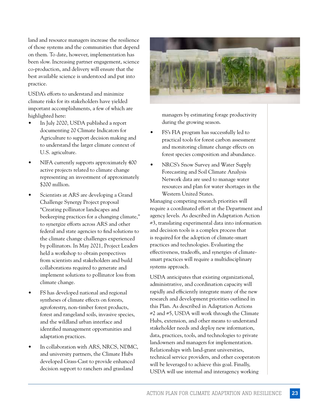land and resource managers increase the resilience of those systems and the communities that depend on them. To date, however, implementation has been slow. Increasing partner engagement, science co-production, and delivery will ensure that the best available science is understood and put into practice.

USDA's efforts to understand and minimize climate risks for its stakeholders have yielded important accomplishments, a few of which are highlighted here:

- In July 2020, USDA published a report documenting 20 Climate Indicators for Agriculture to support decision making and to understand the larger climate context of U.S. agriculture.
- NIFA currently supports approximately 400 active projects related to climate change representing an investment of approximately \$200 million.
- Scientists at ARS are developing a Grand Challenge Synergy Project proposal "Creating pollinator landscapes and beekeeping practices for a changing climate," to synergize efforts across ARS and other federal and state agencies to find solutions to the climate change challenges experienced by pollinators. In May 2021, Project Leaders held a workshop to obtain perspectives from scientists and stakeholders and build collaborations required to generate and implement solutions to pollinator loss from climate change.
- FS has developed national and regional syntheses of climate effects on forests, agroforestry, non-timber forest products, forest and rangeland soils, invasive species, and the wildland urban interface and identified management opportunities and adaptation practices.
- In collaboration with ARS, NRCS, NDMC, and university partners, the Climate Hubs developed Grass-Cast to provide enhanced decision support to ranchers and grassland



managers by estimating forage productivity during the growing season.

- FS's FIA program has successfully led to practical tools for forest carbon assessment and monitoring climate change effects on forest species composition and abundance.
- NRCS's Snow Survey and Water Supply Forecasting and Soil Climate Analysis Network data are used to manage water resources and plan for water shortages in the Western United States.

Managing competing research priorities will require a coordinated effort at the Department and agency levels. As described in Adaptation Action #3, translating experimental data into information and decision tools is a complex process that is required for the adoption of climate-smart practices and technologies. Evaluating the effectiveness, tradeoffs, and synergies of climatesmart practices will require a multidisciplinary systems approach.

USDA anticipates that existing organizational, administrative, and coordination capacity will rapidly and efficiently integrate many of the new research and development priorities outlined in this Plan. As described in Adaptation Actions #2 and #5, USDA will work through the Climate Hubs, extension, and other means to understand stakeholder needs and deploy new information, data, practices, tools, and technologies to private landowners and managers for implementation. Relationships with land-grant universities, technical service providers, and other cooperators will be leveraged to achieve this goal. Finally, USDA will use internal and interagency working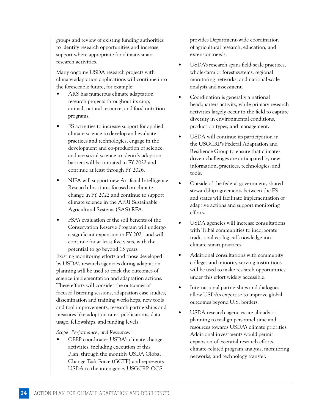groups and review of existing funding authorities to identify research opportunities and increase support where appropriate for climate-smart research activities.

Many ongoing USDA research projects with climate adaptation applications will continue into the foreseeable future, for example:

- ARS has numerous climate adaptation research projects throughout its crop, animal, natural resource, and food nutrition programs.
- FS activities to increase support for applied climate science to develop and evaluate practices and technologies, engage in the development and co-production of science, and use social science to identify adoption barriers will be initiated in FY 2022 and continue at least through FY 2026.
- NIFA will support new Artificial Intelligence Research Institutes focused on climate change in FY 2022 and continue to support climate science in the AFRI Sustainable Agricultural Systems (SAS) RFA.
- FSA's evaluation of the soil benefits of the Conservation Reserve Program will undergo a significant expansion in FY 2021 and will continue for at least five years, with the potential to go beyond 15 years.

Existing monitoring efforts and those developed by USDA's research agencies during adaptation planning will be used to track the outcomes of science implementation and adaptation actions. These efforts will consider the outcomes of focused listening sessions, adaptation case studies, dissemination and training workshops, new tools and tool improvements, research partnerships and measures like adoption rates, publications, data usage, fellowships, and funding levels.

*Scope, Performance, and Resources*

• OEEP coordinates USDA's climate change activities, including execution of this Plan, through the monthly USDA Global Change Task Force (GCTF) and represents USDA to the interagency USGCRP. OCS

provides Department-wide coordination of agricultural research, education, and extension needs.

- USDA's research spans field-scale practices, whole-farm or forest systems, regional monitoring networks, and national-scale analysis and assessment.
- Coordination is generally a national headquarters activity, while primary research activities largely occur in the field to capture diversity in environmental conditions, production types, and management.
- USDA will continue its participation in the USGCRP's Federal Adaptation and Resilience Group to ensure that climatedriven challenges are anticipated by new information, practices, technologies, and tools.
- Outside of the federal government, shared stewardship agreements between the FS and states will facilitate implementation of adaptive actions and support monitoring efforts.
- USDA agencies will increase consultations with Tribal communities to incorporate traditional ecological knowledge into climate-smart practices.
- Additional consultations with community colleges and minority-serving institutions will be used to make research opportunities under this effort widely accessible.
- International partnerships and dialogues allow USDA's expertise to improve global outcomes beyond U.S. borders.
- USDA research agencies are already or planning to realign personnel time and resources towards USDA's climate priorities. Additional investments would permit expansion of essential research efforts, climate-related program analysis, monitoring networks, and technology transfer.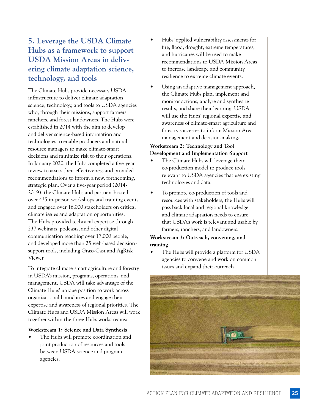### **5. Leverage the USDA Climate Hubs as a framework to support USDA Mission Areas in delivering climate adaptation science, technology, and tools**

The Climate Hubs provide necessary USDA infrastructure to deliver climate adaptation science, technology, and tools to USDA agencies who, through their missions, support farmers, ranchers, and forest landowners. The Hubs were established in 2014 with the aim to develop and deliver science-based information and technologies to enable producers and natural resource managers to make climate-smart decisions and minimize risk to their operations. In January 2020, the Hubs completed a five-year review to assess their effectiveness and provided recommendations to inform a new, forthcoming, strategic plan. Over a five-year period (2014- 2019), the Climate Hubs and partners hosted over 435 in-person workshops and training events and engaged over 16,000 stakeholders on critical climate issues and adaptation opportunities. The Hubs provided technical expertise through 237 webinars, podcasts, and other digital communication reaching over 17,000 people, and developed more than 25 web-based decisionsupport tools, including Grass-Cast and AgRisk Viewer.

To integrate climate-smart agriculture and forestry in USDA's mission, programs, operations, and management, USDA will take advantage of the Climate Hubs' unique position to work across organizational boundaries and engage their expertise and awareness of regional priorities. The Climate Hubs and USDA Mission Areas will work together within the three Hubs workstreams:

#### **Workstream 1: Science and Data Synthesis**

• The Hubs will promote coordination and joint production of resources and tools between USDA science and program agencies.

- Hubs' applied vulnerability assessments for fire, flood, drought, extreme temperatures, and hurricanes will be used to make recommendations to USDA Mission Areas to increase landscape and community resilience to extreme climate events.
- Using an adaptive management approach, the Climate Hubs plan, implement and monitor actions, analyze and synthesize results, and share their learning. USDA will use the Hubs' regional expertise and awareness of climate-smart agriculture and forestry successes to inform Mission Area management and decision-making.

#### **Workstream 2: Technology and Tool Development and Implementation Support**

- The Climate Hubs will leverage their co-production model to produce tools relevant to USDA agencies that use existing technologies and data.
- To promote co-production of tools and resources with stakeholders, the Hubs will pass back local and regional knowledge and climate adaptation needs to ensure that USDA's work is relevant and usable by farmers, ranchers, and landowners.

#### **Workstream 3: Outreach, convening, and training**

The Hubs will provide a platform for USDA agencies to convene and work on common issues and expand their outreach.

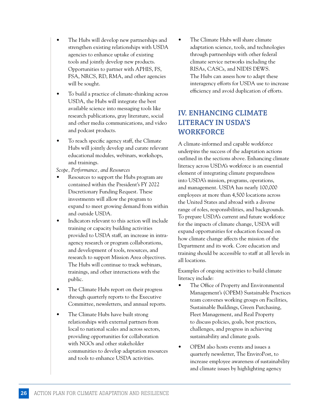- The Hubs will develop new partnerships and strengthen existing relationships with USDA agencies to enhance uptake of existing tools and jointly develop new products. Opportunities to partner with APHIS, FS, FSA, NRCS, RD, RMA, and other agencies will be sought.
- To build a practice of climate-thinking across USDA, the Hubs will integrate the best available science into messaging tools like research publications, gray literature, social and other media communications, and video and podcast products.
- To reach specific agency staff, the Climate Hubs will jointly develop and curate relevant educational modules, webinars, workshops, and trainings.

*Scope, Performance, and Resources*

- Resources to support the Hubs program are contained within the President's FY 2022 Discretionary Funding Request. These investments will allow the program to expand to meet growing demand from within and outside USDA.
- Indicators relevant to this action will include training or capacity building activities provided to USDA staff, an increase in intraagency research or program collaborations, and development of tools, resources, and research to support Mission Area objectives. The Hubs will continue to track webinars, trainings, and other interactions with the public.
- The Climate Hubs report on their progress through quarterly reports to the Executive Committee, newsletters, and annual reports.
- The Climate Hubs have built strong relationships with external partners from local to national scales and across sectors, providing opportunities for collaboration with NGOs and other stakeholder communities to develop adaptation resources and tools to enhance USDA activities.

• The Climate Hubs will share climate adaptation science, tools, and technologies through partnerships with other federal climate service networks including the RISAs, CASCs, and NIDIS DEWS. The Hubs can assess how to adapt these interagency efforts for USDA use to increase efficiency and avoid duplication of efforts.

### **IV. ENHANCING CLIMATE LITERACY IN USDA'S WORKFORCE**

A climate-informed and capable workforce underpins the success of the adaptation actions outlined in the sections above. Enhancing climate literacy across USDA's workforce is an essential element of integrating climate preparedness into USDA's mission, programs, operations, and management. USDA has nearly 100,000 employees at more than 4,500 locations across the United States and abroad with a diverse range of roles, responsibilities, and backgrounds. To prepare USDA's current and future workforce for the impacts of climate change, USDA will expand opportunities for education focused on how climate change affects the mission of the Department and its work. Core education and training should be accessible to staff at all levels in all locations.

Examples of ongoing activities to build climate literacy include:

- The Office of Property and Environmental Management's (OPEM) Sustainable Practices team convenes working groups on Facilities, Sustainable Buildings, Green Purchasing, Fleet Management, and Real Property to discuss policies, goals, best practices, challenges, and progress in achieving sustainability and climate goals.
- OPEM also hosts events and issues a quarterly newsletter, The EnviroPost, to increase employee awareness of sustainability and climate issues by highlighting agency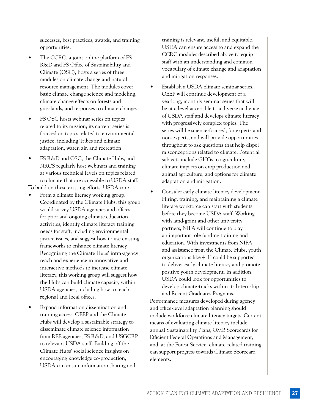successes, best practices, awards, and training opportunities.

- The CCRC, a joint online platform of FS R&D and FS Office of Sustainability and Climate (OSC), hosts a series of three modules on climate change and natural resource management. The modules cover basic climate change science and modeling, climate change effects on forests and grasslands, and responses to climate change.
- FS OSC hosts webinar series on topics related to its mission; its current series is focused on topics related to environmental justice, including Tribes and climate adaptation, water, air, and recreation.
- FS R&D and OSC, the Climate Hubs, and NRCS regularly host webinars and training at various technical levels on topics related to climate that are accessible to USDA staff.

To build on these existing efforts, USDA can:

- Form a climate literacy working group. Coordinated by the Climate Hubs, this group would survey USDA agencies and offices for prior and ongoing climate education activities, identify climate literacy training needs for staff, including environmental justice issues, and suggest how to use existing frameworks to enhance climate literacy. Recognizing the Climate Hubs' intra-agency reach and experience in innovative and interactive methods to increase climate literacy, this working group will suggest how the Hubs can build climate capacity within USDA agencies, including how to reach regional and local offices.
- Expand information dissemination and training access. OEEP and the Climate Hubs will develop a sustainable strategy to disseminate climate science information from REE agencies, FS R&D, and USGCRP to relevant USDA staff. Building off the Climate Hubs' social science insights on encouraging knowledge co-production, USDA can ensure information sharing and

training is relevant, useful, and equitable. USDA can ensure access to and expand the CCRC modules described above to equip staff with an understanding and common vocabulary of climate change and adaptation and mitigation responses.

- Establish a USDA climate seminar series. OEEP will continue development of a yearlong, monthly seminar series that will be at a level accessible to a diverse audience of USDA staff and develops climate literacy with progressively complex topics. The series will be science-focused, for experts and non-experts, and will provide opportunities throughout to ask questions that help dispel misconceptions related to climate. Potential subjects include GHGs in agriculture, climate impacts on crop production and animal agriculture, and options for climate adaptation and mitigation.
- Consider early climate literacy development. Hiring, training, and maintaining a climate literate workforce can start with students before they become USDA staff. Working with land-grant and other university partners, NIFA will continue to play an important role funding training and education. With investments from NIFA and assistance from the Climate Hubs, youth organizations like 4–H could be supported to deliver early climate literacy and promote positive youth development. In addition, USDA could look for opportunities to develop climate-tracks within its Internship and Recent Graduates Programs.

Performance measures developed during agency and office-level adaptation planning should include workforce climate literacy targets. Current means of evaluating climate literacy include annual Sustainability Plans, OMB Scorecards for Efficient Federal Operations and Management, and, at the Forest Service, climate-related training can support progress towards Climate Scorecard elements.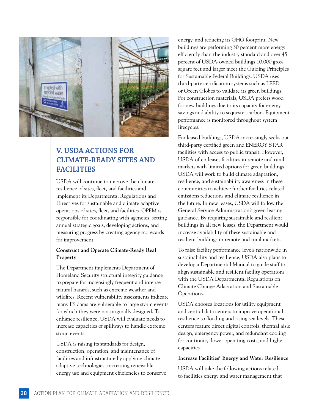

### **V. USDA ACTIONS FOR CLIMATE-READY SITES AND FACILITIES**

USDA will continue to improve the climate resilience of sites, fleet, and facilities and implement its Departmental Regulations and Directives for sustainable and climate adaptive operations of sites, fleet, and facilities. OPEM is responsible for coordinating with agencies, setting annual strategic goals, developing actions, and measuring progress by creating agency scorecards for improvement.

#### **Construct and Operate Climate-Ready Real Property**

The Department implements Department of Homeland Security structural integrity guidance to prepare for increasingly frequent and intense natural hazards, such as extreme weather and wildfires. Recent vulnerability assessments indicate many FS dams are vulnerable to large storm events for which they were not originally designed. To enhance resilience, USDA will evaluate needs to increase capacities of spillways to handle extreme storm events.

USDA is raising its standards for design, construction, operation, and maintenance of facilities and infrastructure by applying climate adaptive technologies, increasing renewable energy use and equipment efficiencies to conserve energy, and reducing its GHG footprint. New buildings are performing 30 percent more energy efficiently than the industry standard and over 45 percent of USDA-owned buildings 10,000 gross square feet and larger meet the Guiding Principles for Sustainable Federal Buildings. USDA uses third-party certification systems such as LEED or Green Globes to validate its green buildings. For construction materials, USDA prefers wood for new buildings due to its capacity for energy savings and ability to sequester carbon. Equipment performance is monitored throughout system lifecycles.

For leased buildings, USDA increasingly seeks out third-party certified green and ENERGY STAR facilities with access to public transit. However, USDA often leases facilities in remote and rural markets with limited options for green buildings. USDA will work to build climate adaptation, resilience, and sustainability awareness in these communities to achieve further facilities-related emissions reductions and climate resilience in the future. In new leases, USDA will follow the General Service Administration's green leasing guidance. By requiring sustainable and resilient buildings in all new leases, the Department would increase availability of these sustainable and resilient buildings in remote and rural markets.

To raise facility performance levels nationwide in sustainability and resilience, USDA also plans to develop a Departmental Manual to guide staff to align sustainable and resilient facility operations with the USDA Departmental Regulations on Climate Change Adaptation and Sustainable Operations.

USDA chooses locations for utility equipment and central data centers to improve operational resilience to flooding and rising sea levels. These centers feature direct digital controls, thermal aisle design, emergency power, and redundant cooling for continuity, lower operating costs, and higher capacities.

#### **Increase Facilities' Energy and Water Resilience**

USDA will take the following actions related to facilities energy and water management that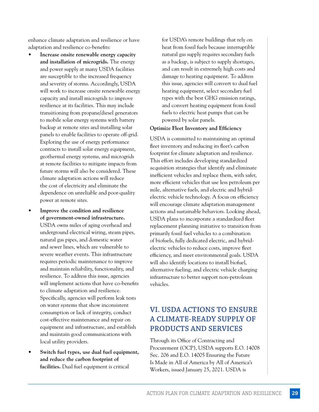enhance climate adaptation and resilience or have adaptation and resilience co-benefits:

- **Increase onsite renewable energy capacity and installation of microgrids.** The energy and power supply at many USDA facilities are susceptible to the increased frequency and severity of storms. Accordingly, USDA will work to increase onsite renewable energy capacity and install microgrids to improve resilience at its facilities. This may include transitioning from propane/diesel generators to mobile solar energy systems with battery backup at remote sites and installing solar panels to enable facilities to operate off-grid. Exploring the use of energy performance contracts to install solar energy equipment, geothermal energy systems, and microgrids at remote facilities to mitigate impacts from future storms will also be considered. These climate adaptation actions will reduce the cost of electricity and eliminate the dependence on unreliable and poor-quality power at remote sites.
- **Improve the condition and resilience of government-owned infrastructure.**  USDA owns miles of aging overhead and underground electrical wiring, steam pipes, natural gas pipes, and domestic water and sewer lines, which are vulnerable to severe weather events. This infrastructure requires periodic maintenance to improve and maintain reliability, functionality, and resilience. To address this issue, agencies will implement actions that have co-benefits to climate adaptation and resilience. Specifically, agencies will perform leak tests on water systems that show inconsistent consumption or lack of integrity, conduct cost-effective maintenance and repair on equipment and infrastructure, and establish and maintain good communications with local utility providers.
- **Switch fuel types, use dual fuel equipment, and reduce the carbon footprint of facilities.** Dual fuel equipment is critical

for USDA's remote buildings that rely on heat from fossil fuels because interruptible natural gas supply requires secondary fuels as a backup, is subject to supply shortages, and can result in extremely high costs and damage to heating equipment. To address this issue, agencies will convert to dual fuel heating equipment, select secondary fuel types with the best GHG emission ratings, and convert heating equipment from fossil fuels to electric heat pumps that can be powered by solar panels.

#### **Optimize Fleet Inventory and Efficiency**

USDA is committed to maintaining an optimal fleet inventory and reducing its fleet's carbon footprint for climate adaptation and resilience. This effort includes developing standardized acquisition strategies that identify and eliminate inefficient vehicles and replace them, with safer, more efficient vehicles that use less petroleum per mile, alternative fuels, and electric and hybridelectric vehicle technology. A focus on efficiency will encourage climate adaptation management actions and sustainable behaviors. Looking ahead, USDA plans to incorporate a standardized fleet replacement planning initiative to transition from primarily fossil fuel vehicles to a combination of biofuels, fully dedicated electric, and hybridelectric vehicles to reduce costs, improve fleet efficiency, and meet environmental goals. USDA will also identify locations to install biofuel, alternative fueling, and electric vehicle charging infrastructure to better support non-petroleum vehicles.

### **VI. USDA ACTIONS TO ENSURE A CLIMATE-READY SUPPLY OF PRODUCTS AND SERVICES**

Through its Office of Contracting and Procurement (OCP), USDA supports E.O. 14008 Sec. 206 and E.O. 14005 Ensuring the Future Is Made in All of America by All of America's Workers, issued January 25, 2021. USDA is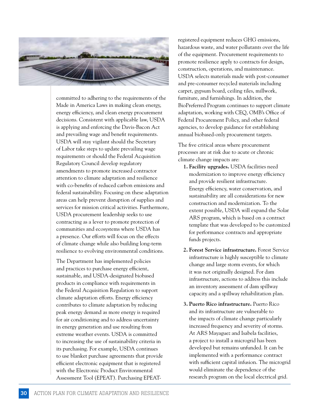

committed to adhering to the requirements of the Made in America Laws in making clean energy, energy efficiency, and clean energy procurement decisions. Consistent with applicable law, USDA is applying and enforcing the Davis-Bacon Act and prevailing wage and benefit requirements. USDA will stay vigilant should the Secretary of Labor take steps to update prevailing wage requirements or should the Federal Acquisition Regulatory Council develop regulatory amendments to promote increased contractor attention to climate adaptation and resilience with co-benefits of reduced carbon emissions and federal sustainability. Focusing on these adaptation areas can help prevent disruption of supplies and services for mission critical activities. Furthermore, USDA procurement leadership seeks to use contracting as a lever to promote protection of communities and ecosystems where USDA has a presence. Our efforts will focus on the effects of climate change while also building long-term resilience to evolving environmental conditions.

The Department has implemented policies and practices to purchase energy efficient, sustainable, and USDA-designated biobased products in compliance with requirements in the Federal Acquisition Regulation to support climate adaptation efforts. Energy efficiency contributes to climate adaptation by reducing peak energy demand as more energy is required for air conditioning and to address uncertainty in energy generation and use resulting from extreme weather events. USDA is committed to increasing the use of sustainability criteria in its purchasing. For example, USDA continues to use blanket purchase agreements that provide efficient electronic equipment that is registered with the Electronic Product Environmental Assessment Tool (EPEAT). Purchasing EPEAT-

registered equipment reduces GHG emissions, hazardous waste, and water pollutants over the life of the equipment. Procurement requirements to promote resilience apply to contracts for design, construction, operations, and maintenance. USDA selects materials made with post-consumer and pre-consumer recycled materials including carpet, gypsum board, ceiling tiles, millwork, furniture, and furnishings. In addition, the BioPreferred Program continues to support climate adaptation, working with CEQ, OMB's Office of Federal Procurement Policy, and other federal agencies, to develop guidance for establishing annual biobased-only procurement targets.

The five critical areas where procurement processes are at risk due to acute or chronic climate change impacts are:

- **1. Facility upgrades.** USDA facilities need modernization to improve energy efficiency and provide resilient infrastructure. Energy efficiency, water conservation, and sustainability are all considerations for new construction and modernization. To the extent possible, USDA will expand the Solar ARS program, which is based on a contract template that was developed to be customized for performance contracts and appropriate funds projects.
- **2. Forest Service infrastructure.** Forest Service infrastructure is highly susceptible to climate change and large storm events, for which it was not originally designed. For dam infrastructure, actions to address this include an inventory assessment of dam spillway capacity and a spillway rehabilitation plan.
- **3. Puerto Rico infrastructure.** Puerto Rico and its infrastructure are vulnerable to the impacts of climate change particularly increased frequency and severity of storms. At ARS Mayaguez and Isabela facilities, a project to install a microgrid has been developed but remains unfunded. It can be implemented with a performance contract with sufficient capital infusion. The microgrid would eliminate the dependence of the research program on the local electrical grid.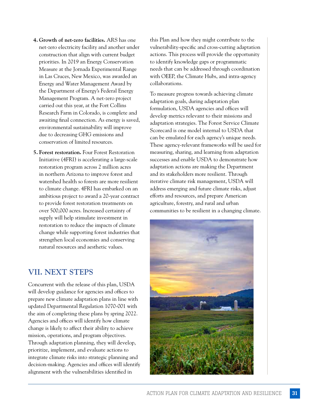- **4. Growth of net-zero facilities.** ARS has one net-zero electricity facility and another under construction that align with current budget priorities. In 2019 an Energy Conservation Measure at the Jornada Experimental Range in Las Cruces, New Mexico, was awarded an Energy and Water Management Award by the Department of Energy's Federal Energy Management Program. A net-zero project carried out this year, at the Fort Collins Research Farm in Colorado, is complete and awaiting final connection. As energy is saved, environmental sustainability will improve due to decreasing GHG emissions and conservation of limited resources.
- **5. Forest restoration.** Four Forest Restoration Initiative (4FRI) is accelerating a large-scale restoration program across 2 million acres in northern Arizona to improve forest and watershed health so forests are more resilient to climate change. 4FRI has embarked on an ambitious project to award a 20-year contract to provide forest restoration treatments on over 500,000 acres. Increased certainty of supply will help stimulate investment in restoration to reduce the impacts of climate change while supporting forest industries that strengthen local economies and conserving natural resources and aesthetic values.

### **VII. NEXT STEPS**

Concurrent with the release of this plan, USDA will develop guidance for agencies and offices to prepare new climate adaptation plans in line with updated Departmental Regulation 1070-001 with the aim of completing these plans by spring 2022. Agencies and offices will identify how climate change is likely to affect their ability to achieve mission, operations, and program objectives. Through adaptation planning, they will develop, prioritize, implement, and evaluate actions to integrate climate risks into strategic planning and decision-making. Agencies and offices will identify alignment with the vulnerabilities identified in

this Plan and how they might contribute to the vulnerability-specific and cross-cutting adaptation actions. This process will provide the opportunity to identify knowledge gaps or programmatic needs that can be addressed through coordination with OEEP, the Climate Hubs, and intra-agency collaborations.

To measure progress towards achieving climate adaptation goals, during adaptation plan formulation, USDA agencies and offices will develop metrics relevant to their missions and adaptation strategies. The Forest Service Climate Scorecard is one model internal to USDA that can be emulated for each agency's unique needs. These agency-relevant frameworks will be used for measuring, sharing, and learning from adaptation successes and enable USDA to demonstrate how adaptation actions are making the Department and its stakeholders more resilient. Through iterative climate risk management, USDA will address emerging and future climate risks, adjust efforts and resources, and prepare American agriculture, forestry, and rural and urban communities to be resilient in a changing climate.

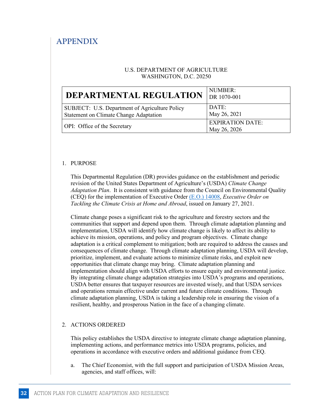### **APPENDIX**

#### U.S. DEPARTMENT OF AGRICULTURE WASHINGTON, D.C. 20250

| DEPARTMENTAL REGULATION                                                                  | NUMBER:<br>DR 1070-001                  |
|------------------------------------------------------------------------------------------|-----------------------------------------|
| SUBJECT: U.S. Department of Agriculture Policy<br>Statement on Climate Change Adaptation | DATE:<br>May 26, 2021                   |
| <b>OPI:</b> Office of the Secretary                                                      | <b>EXPIRATION DATE:</b><br>May 26, 2026 |

#### 1. PURPOSE

This Departmental Regulation (DR) provides guidance on the establishment and periodic revision of the United States Department of Agriculture's (USDA) *Climate Change Adaptation Plan*. It is consistent with guidance from the Council on Environmental Quality (CEQ) for the implementation of Executive Orde[r \(E.O.\) 14008,](https://www.govinfo.gov/content/pkg/FR-2021-02-01/pdf/2021-02177.pdf) *Executive Order on Tackling the Climate Crisis at Home and Abroad*, issued on January 27, 2021.

Climate change poses a significant risk to the agriculture and forestry sectors and the communities that support and depend upon them. Through climate adaptation planning and implementation, USDA will identify how climate change is likely to affect its ability to achieve its mission, operations, and policy and program objectives. Climate change adaptation is a critical complement to mitigation; both are required to address the causes and consequences of climate change. Through climate adaptation planning, USDA will develop, prioritize, implement, and evaluate actions to minimize climate risks, and exploit new opportunities that climate change may bring. Climate adaptation planning and implementation should align with USDA efforts to ensure equity and environmental justice. By integrating climate change adaptation strategies into USDA's programs and operations, USDA better ensures that taxpayer resources are invested wisely, and that USDA services and operations remain effective under current and future climate conditions. Through climate adaptation planning, USDA is taking a leadership role in ensuring the vision of a resilient, healthy, and prosperous Nation in the face of a changing climate.

#### 2. ACTIONS ORDERED

This policy establishes the USDA directive to integrate climate change adaptation planning, implementing actions, and performance metrics into USDA programs, policies, and operations in accordance with executive orders and additional guidance from CEQ.

a. The Chief Economist, with the full support and participation of USDA Mission Areas, agencies, and staff offices, will: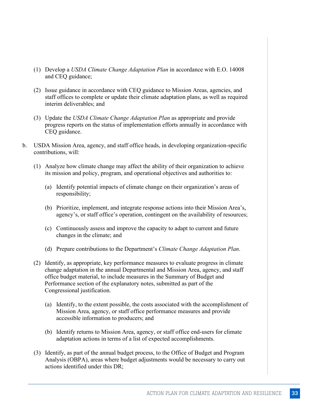- (1) Develop a *USDA Climate Change Adaptation Plan* in accordance with E.O. 14008 and CEQ guidance;
- (2) Issue guidance in accordance with CEQ guidance to Mission Areas, agencies, and staff offices to complete or update their climate adaptation plans, as well as required interim deliverables; and
- (3) Update the *USDA Climate Change Adaptation Plan* as appropriate and provide progress reports on the status of implementation efforts annually in accordance with CEQ guidance.
- b. USDA Mission Area, agency, and staff office heads, in developing organization-specific contributions, will:
	- (1) Analyze how climate change may affect the ability of their organization to achieve its mission and policy, program, and operational objectives and authorities to:
		- (a) Identify potential impacts of climate change on their organization's areas of responsibility;
		- (b) Prioritize, implement, and integrate response actions into their Mission Area's, agency's, or staff office's operation, contingent on the availability of resources;
		- (c) Continuously assess and improve the capacity to adapt to current and future changes in the climate; and
		- (d) Prepare contributions to the Department's *Climate Change Adaptation Plan*.
	- (2) Identify, as appropriate, key performance measures to evaluate progress in climate change adaptation in the annual Departmental and Mission Area, agency, and staff office budget material, to include measures in the Summary of Budget and Performance section of the explanatory notes, submitted as part of the Congressional justification.
		- (a) Identify, to the extent possible, the costs associated with the accomplishment of Mission Area, agency, or staff office performance measures and provide accessible information to producers; and
		- (b) Identify returns to Mission Area, agency, or staff office end-users for climate adaptation actions in terms of a list of expected accomplishments.
	- (3) Identify, as part of the annual budget process, to the Office of Budget and Program Analysis (OBPA), areas where budget adjustments would be necessary to carry out actions identified under this DR;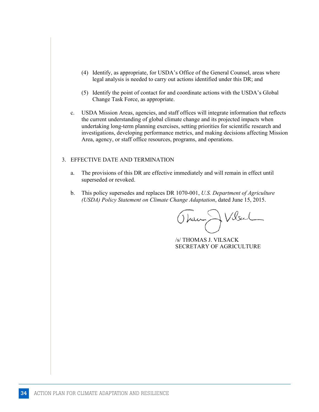- (4) Identify, as appropriate, for USDA's Office of the General Counsel, areas where legal analysis is needed to carry out actions identified under this DR; and
- (5) Identify the point of contact for and coordinate actions with the USDA's Global Change Task Force, as appropriate.
- c. USDA Mission Areas, agencies, and staff offices will integrate information that reflects the current understanding of global climate change and its projected impacts when undertaking long-term planning exercises, setting priorities for scientific research and investigations, developing performance metrics, and making decisions affecting Mission Area, agency, or staff office resources, programs, and operations.

#### 3. EFFECTIVE DATE AND TERMINATION

- a. The provisions of this DR are effective immediately and will remain in effect until superseded or revoked.
- b. This policy supersedes and replaces DR 1070-001, *U.S. Department of Agriculture (USDA) Policy Statement on Climate Change Adaptation*, dated June 15, 2015.

Rum Wesul

/s/ THOMAS J. VILSACK SECRETARY OF AGRICULTURE